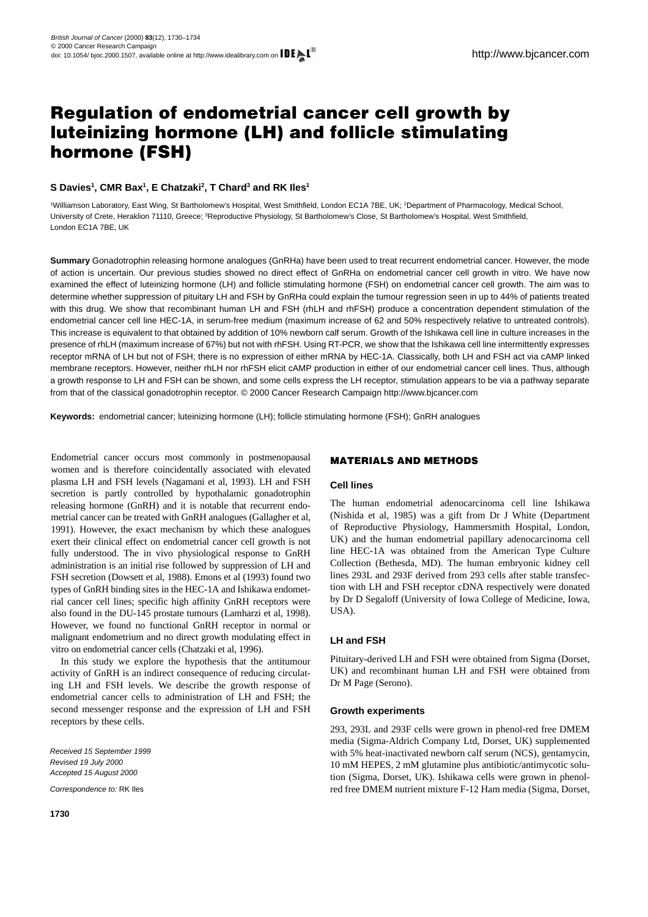# **Regulation of endometrial cancer cell growth by luteinizing hormone (LH) and follicle stimulating hormone (FSH)**

# **S Davies1, CMR Bax1, E Chatzaki2, T Chard3 and RK Iles1**

1Williamson Laboratory, East Wing, St Bartholomew's Hospital, West Smithfield, London EC1A 7BE, UK; 2Department of Pharmacology, Medical School, University of Crete, Heraklion 71110, Greece; <sup>3</sup>Reproductive Physiology, St Bartholomew's Close, St Bartholomew's Hospital, West Smithfield, London EC1A 7BE, UK

**Summary** Gonadotrophin releasing hormone analogues (GnRHa) have been used to treat recurrent endometrial cancer. However, the mode of action is uncertain. Our previous studies showed no direct effect of GnRHa on endometrial cancer cell growth in vitro. We have now examined the effect of luteinizing hormone (LH) and follicle stimulating hormone (FSH) on endometrial cancer cell growth. The aim was to determine whether suppression of pituitary LH and FSH by GnRHa could explain the tumour regression seen in up to 44% of patients treated with this drug. We show that recombinant human LH and FSH (rhLH and rhFSH) produce a concentration dependent stimulation of the endometrial cancer cell line HEC-1A, in serum-free medium (maximum increase of 62 and 50% respectively relative to untreated controls). This increase is equivalent to that obtained by addition of 10% newborn calf serum. Growth of the Ishikawa cell line in culture increases in the presence of rhLH (maximum increase of 67%) but not with rhFSH. Using RT-PCR, we show that the Ishikawa cell line intermittently expresses receptor mRNA of LH but not of FSH; there is no expression of either mRNA by HEC-1A. Classically, both LH and FSH act via cAMP linked membrane receptors. However, neither rhLH nor rhFSH elicit cAMP production in either of our endometrial cancer cell lines. Thus, although a growth response to LH and FSH can be shown, and some cells express the LH receptor, stimulation appears to be via a pathway separate from that of the classical gonadotrophin receptor. © 2000 Cancer Research Campaign http://www.bjcancer.com

**Keywords:** endometrial cancer; luteinizing hormone (LH); follicle stimulating hormone (FSH); GnRH analogues

Endometrial cancer occurs most commonly in postmenopausal women and is therefore coincidentally associated with elevated plasma LH and FSH levels [\(Nagamani et al, 1993\).](#page-4-0) LH and FSH secretion is partly controlled by hypothalamic gonadotrophin releasing hormone (GnRH) and it is notable that recurrent endometrial cancer can be treated with GnRH analogues [\(Gallagher et al,](#page-4-0) [1991\).](#page-4-0) However, the exact mechanism by which these analogues exert their clinical effect on endometrial cancer cell growth is not fully understood. The in vivo physiological response to GnRH administration is an initial rise followed by suppression of LH and FSH secretion [\(Dowsett et al, 1988\).](#page-4-0) [Emons et al \(1993\)](#page-4-0) found two types of GnRH binding sites in the HEC-1A and Ishikawa endometrial cancer cell lines; specific high affinity GnRH receptors were also found in the DU-145 prostate tumours [\(Lamharzi et al, 1998\).](#page-4-0) However, we found no functional GnRH receptor in normal or malignant endometrium and no direct growth modulating effect in vitro on endometrial cancer cells [\(Chatzaki et al, 1996\).](#page-4-0)

In this study we explore the hypothesis that the antitumour activity of GnRH is an indirect consequence of reducing circulating LH and FSH levels. We describe the growth response of endometrial cancer cells to administration of LH and FSH; the second messenger response and the expression of LH and FSH receptors by these cells.

Received 15 September 1999 Revised 19 July 2000 Accepted 15 August 2000

Correspondence to: RK Iles

# **MATERIALS AND METHODS**

## **Cell lines**

The human endometrial adenocarcinoma cell line Ishikawa [\(Nishida et al, 1985\)](#page-4-0) was a gift from Dr J White (Department of Reproductive Physiology, Hammersmith Hospital, London, UK) and the human endometrial papillary adenocarcinoma cell line HEC-1A was obtained from the American Type Culture Collection (Bethesda, MD). The human embryonic kidney cell lines 293L and 293F derived from 293 cells after stable transfection with LH and FSH receptor cDNA respectively were donated by Dr D Segaloff (University of Iowa College of Medicine, Iowa, USA).

# **LH and FSH**

Pituitary-derived LH and FSH were obtained from Sigma (Dorset, UK) and recombinant human LH and FSH were obtained from Dr M Page (Serono).

## **Growth experiments**

293, 293L and 293F cells were grown in phenol-red free DMEM media (Sigma-Aldrich Company Ltd, Dorset, UK) supplemented with 5% heat-inactivated newborn calf serum (NCS), gentamycin, 10 mM HEPES, 2 mM glutamine plus antibiotic/antimycotic solution (Sigma, Dorset, UK). Ishikawa cells were grown in phenolred free DMEM nutrient mixture F-12 Ham media (Sigma, Dorset,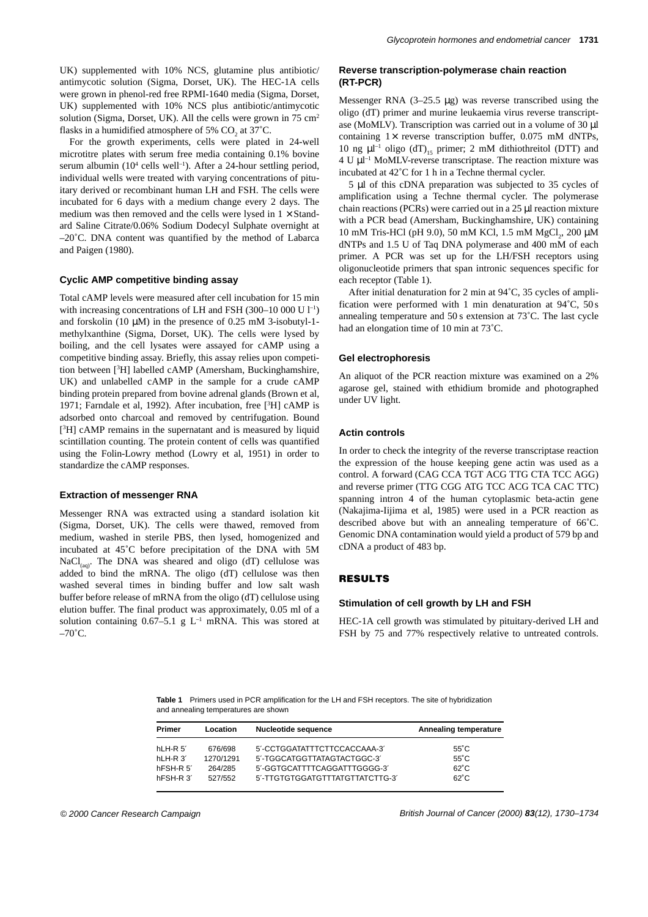UK) supplemented with 10% NCS, glutamine plus antibiotic/ antimycotic solution (Sigma, Dorset, UK). The HEC-1A cells were grown in phenol-red free RPMI-1640 media (Sigma, Dorset, UK) supplemented with 10% NCS plus antibiotic/antimycotic solution (Sigma, Dorset, UK). All the cells were grown in 75 cm<sup>2</sup> flasks in a humidified atmosphere of 5%  $CO<sub>2</sub>$  at 37 $°C$ .

For the growth experiments, cells were plated in 24-well microtitre plates with serum free media containing 0.1% bovine serum albumin  $(10^4 \text{ cells well}^{-1})$ . After a 24-hour settling period, individual wells were treated with varying concentrations of pituitary derived or recombinant human LH and FSH. The cells were incubated for 6 days with a medium change every 2 days. The medium was then removed and the cells were lysed in  $1 \times$  Standard Saline Citrate/0.06% Sodium Dodecyl Sulphate overnight at –20˚C. DNA content was quantified by the method of Labarca and Paigen (1980).

## **Cyclic AMP competitive binding assay**

Total cAMP levels were measured after cell incubation for 15 min with increasing concentrations of LH and FSH (300–10 000 U  $1^{-1}$ ) and forskolin (10  $\mu$ M) in the presence of 0.25 mM 3-isobutyl-1methylxanthine (Sigma, Dorset, UK). The cells were lysed by boiling, and the cell lysates were assayed for cAMP using a competitive binding assay. Briefly, this assay relies upon competition between [3 H] labelled cAMP (Amersham, Buckinghamshire, UK) and unlabelled cAMP in the sample for a crude cAMP binding protein prepared from bovine adrenal glands [\(Brown et al,](#page-4-0) [1971;](#page-4-0) [Farndale et al, 1992\).](#page-4-0) After incubation, free [<sup>3</sup>H] cAMP is adsorbed onto charcoal and removed by centrifugation. Bound [<sup>3</sup>H] cAMP remains in the supernatant and is measured by liquid scintillation counting. The protein content of cells was quantified using the Folin-Lowry method [\(Lowry et al, 1951\)](#page-4-0) in order to standardize the cAMP responses.

# **Extraction of messenger RNA**

Messenger RNA was extracted using a standard isolation kit (Sigma, Dorset, UK). The cells were thawed, removed from medium, washed in sterile PBS, then lysed, homogenized and incubated at 45˚C before precipitation of the DNA with 5M NaCl<sub>(aq)</sub>. The DNA was sheared and oligo (dT) cellulose was added to bind the mRNA. The oligo (dT) cellulose was then washed several times in binding buffer and low salt wash buffer before release of mRNA from the oligo (dT) cellulose using elution buffer. The final product was approximately, 0.05 ml of a solution containing  $0.67-5.1$  g L<sup>-1</sup> mRNA. This was stored at  $-70^{\circ}$ C.

# **Reverse transcription-polymerase chain reaction (RT-PCR)**

Messenger RNA (3–25.5 µg) was reverse transcribed using the oligo (dT) primer and murine leukaemia virus reverse transcriptase (MoMLV). Transcription was carried out in a volume of 30 µl containing  $1\times$  reverse transcription buffer, 0.075 mM dNTPs, 10 ng  $\mu$ l<sup>-1</sup> oligo (dT)<sub>15</sub> primer; 2 mM dithiothreitol (DTT) and 4 U µl –1 MoMLV-reverse transcriptase. The reaction mixture was incubated at 42˚C for 1 h in a Techne thermal cycler.

5 µl of this cDNA preparation was subjected to 35 cycles of amplification using a Techne thermal cycler. The polymerase chain reactions (PCRs) were carried out in a 25 µl reaction mixture with a PCR bead (Amersham, Buckinghamshire, UK) containing 10 mM Tris-HCl (pH 9.0), 50 mM KCl, 1.5 mM  $MgCl_2$ , 200 μM dNTPs and 1.5 U of Taq DNA polymerase and 400 mM of each primer. A PCR was set up for the LH/FSH receptors using oligonucleotide primers that span intronic sequences specific for each receptor (Table 1).

After initial denaturation for 2 min at 94˚C, 35 cycles of amplification were performed with 1 min denaturation at 94˚C, 50 s annealing temperature and 50 s extension at 73˚C. The last cycle had an elongation time of 10 min at 73˚C.

#### **Gel electrophoresis**

An aliquot of the PCR reaction mixture was examined on a 2% agarose gel, stained with ethidium bromide and photographed under UV light.

#### **Actin controls**

In order to check the integrity of the reverse transcriptase reaction the expression of the house keeping gene actin was used as a control. A forward (CAG CCA TGT ACG TTG CTA TCC AGG) and reverse primer (TTG CGG ATG TCC ACG TCA CAC TTC) spanning intron 4 of the human cytoplasmic beta-actin gene [\(Nakajima-Iijima et al, 1985\)](#page-4-0) were used in a PCR reaction as described above but with an annealing temperature of 66˚C. Genomic DNA contamination would yield a product of 579 bp and cDNA a product of 483 bp.

# **RESULTS**

## **Stimulation of cell growth by LH and FSH**

HEC-1A cell growth was stimulated by pituitary-derived LH and FSH by 75 and 77% respectively relative to untreated controls.

**Table 1** Primers used in PCR amplification for the LH and FSH receptors. The site of hybridization and annealing temperatures are shown

| Primer    | Location  | <b>Nucleotide sequence</b>      | Annealing temperature |
|-----------|-----------|---------------------------------|-----------------------|
| hLH-R 5'  | 676/698   | 5'-CCTGGATATTTCTTCCACCAAA-3'    | $55^{\circ}$ C        |
| hLH-R 3'  | 1270/1291 | 5'-TGGCATGGTTATAGTACTGGC-3'     | $55^{\circ}$ C        |
| hFSH-R 5' | 264/285   | 5'-GGTGCATTTTCAGGATTTGGGG-3'    | $62^{\circ}$ C        |
| hFSH-R 3' | 527/552   | 5'-TTGTGTGGATGTTTATGTTATCTTG-3' | $62^{\circ}$ C        |

© 2000 Cancer Research Campaign British Journal of Cancer (2000) **83**(12), 1730–1734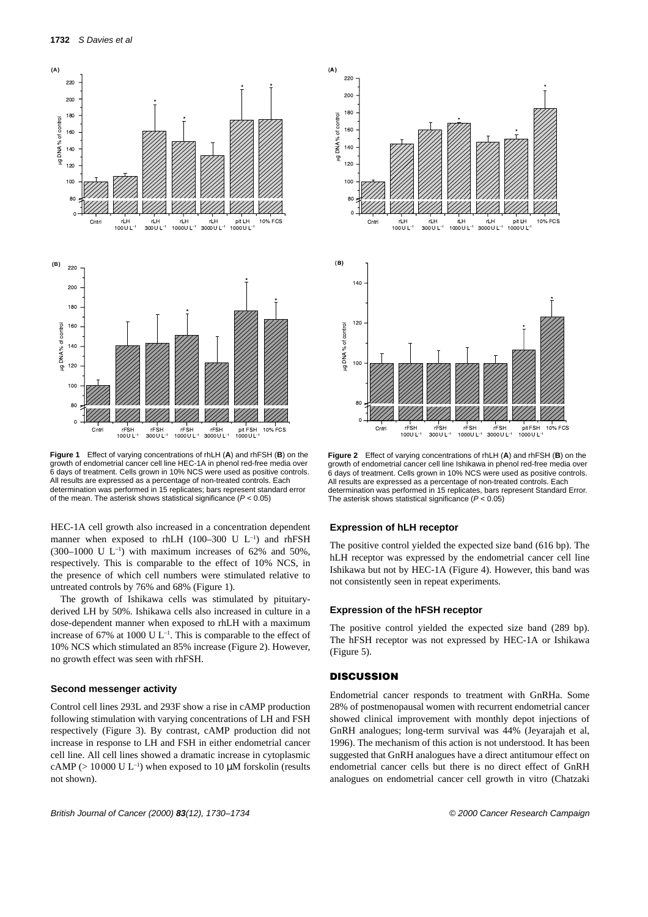<span id="page-2-0"></span>

**Figure 1** Effect of varying concentrations of rhLH (**A**) and rhFSH (**B**) on the growth of endometrial cancer cell line HEC-1A in phenol red-free media over 6 days of treatment. Cells grown in 10% NCS were used as positive controls. All results are expressed as a percentage of non-treated controls. Each determination was performed in 15 replicates; bars represent standard error of the mean. The asterisk shows statistical significance ( $P < 0.05$ )

HEC-1A cell growth also increased in a concentration dependent manner when exposed to rhLH (100–300 U  $L^{-1}$ ) and rhFSH (300–1000 U  $L^{-1}$ ) with maximum increases of 62% and 50%, respectively. This is comparable to the effect of 10% NCS, in the presence of which cell numbers were stimulated relative to untreated controls by 76% and 68% (Figure 1).

The growth of Ishikawa cells was stimulated by pituitaryderived LH by 50%. Ishikawa cells also increased in culture in a dose-dependent manner when exposed to rhLH with a maximum increase of 67% at 1000 U  $L^{-1}$ . This is comparable to the effect of 10% NCS which stimulated an 85% increase (Figure 2). However, no growth effect was seen with rhFSH.

### **Second messenger activity**

Control cell lines 293L and 293F show a rise in cAMP production following stimulation with varying concentrations of LH and FSH respectively [\(Figure 3\).](#page-3-0) By contrast, cAMP production did not increase in response to LH and FSH in either endometrial cancer cell line. All cell lines showed a dramatic increase in cytoplasmic cAMP ( $> 10000$  U L<sup>-1</sup>) when exposed to 10  $\mu$ M forskolin (results not shown).



**Figure 2** Effect of varying concentrations of rhLH (**A**) and rhFSH (**B**) on the growth of endometrial cancer cell line Ishikawa in phenol red-free media over 6 days of treatment. Cells grown in 10% NCS were used as positive controls. All results are expressed as a percentage of non-treated controls. Each determination was performed in 15 replicates, bars represent Standard Error. The asterisk shows statistical significance  $(P < 0.05)$ 

#### **Expression of hLH receptor**

The positive control yielded the expected size band (616 bp). The hLH receptor was expressed by the endometrial cancer cell line Ishikawa but not by HEC-1A [\(Figure 4\).](#page-3-0) However, this band was not consistently seen in repeat experiments.

## **Expression of the hFSH receptor**

The positive control yielded the expected size band (289 bp). The hFSH receptor was not expressed by HEC-1A or Ishikawa [\(Figure 5\).](#page-3-0)

# **DISCUSSION**

Endometrial cancer responds to treatment with GnRHa. Some 28% of postmenopausal women with recurrent endometrial cancer showed clinical improvement with monthly depot injections of GnRH analogues; long-term survival was 44% [\(Jeyarajah et al,](#page-4-0) [1996\).](#page-4-0) The mechanism of this action is not understood. It has been suggested that GnRH analogues have a direct antitumour effect on endometrial cancer cells but there is no direct effect of GnRH analogues on endometrial cancer cell growth in vitro [\(Chatzaki](#page-4-0)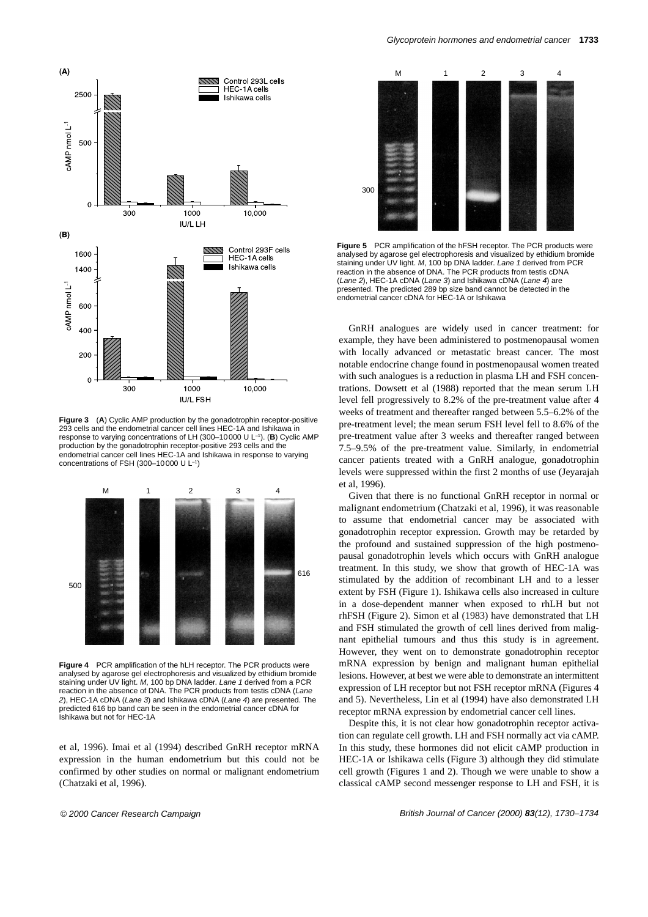<span id="page-3-0"></span>

**Figure 3** (**A**) Cyclic AMP production by the gonadotrophin receptor-positive 293 cells and the endometrial cancer cell lines HEC-1A and Ishikawa in response to varying concentrations of LH (300–10000 U L–1). (**B**) Cyclic AMP production by the gonadotrophin receptor-positive 293 cells and the endometrial cancer cell lines HEC-1A and Ishikawa in response to varying concentrations of FSH (300–10000 U L–1)



**Figure 4** PCR amplification of the hLH receptor. The PCR products were analysed by agarose gel electrophoresis and visualized by ethidium bromide staining under UV light. M, 100 bp DNA ladder. Lane 1 derived from a PCR reaction in the absence of DNA. The PCR products from testis cDNA (Lane 2), HEC-1A cDNA (Lane 3) and Ishikawa cDNA (Lane 4) are presented. The predicted 616 bp band can be seen in the endometrial cancer cDNA for Ishikawa but not for HEC-1A

[et al, 1996\).](#page-4-0) [Imai et al \(1994\)](#page-4-0) described GnRH receptor mRNA expression in the human endometrium but this could not be confirmed by other studies on normal or malignant endometrium [\(Chatzaki et al, 1996\).](#page-4-0) 



**Figure 5** PCR amplification of the hFSH receptor. The PCR products were analysed by agarose gel electrophoresis and visualized by ethidium bromide staining under UV light. M, 100 bp DNA ladder. Lane 1 derived from PCR reaction in the absence of DNA. The PCR products from testis cDNA (Lane 2), HEC-1A cDNA (Lane 3) and Ishikawa cDNA (Lane 4) are presented. The predicted 289 bp size band cannot be detected in the endometrial cancer cDNA for HEC-1A or Ishikawa

GnRH analogues are widely used in cancer treatment: for example, they have been administered to postmenopausal women with locally advanced or metastatic breast cancer. The most notable endocrine change found in postmenopausal women treated with such analogues is a reduction in plasma LH and FSH concentrations. [Dowsett et al \(1988\)](#page-4-0) reported that the mean serum LH level fell progressively to 8.2% of the pre-treatment value after 4 weeks of treatment and thereafter ranged between 5.5–6.2% of the pre-treatment level; the mean serum FSH level fell to 8.6% of the pre-treatment value after 3 weeks and thereafter ranged between 7.5–9.5% of the pre-treatment value. Similarly, in endometrial cancer patients treated with a GnRH analogue, gonadotrophin levels were suppressed within the first 2 months of use [\(Jeyarajah](#page-4-0) [et al, 1996\).](#page-4-0)

Given that there is no functional GnRH receptor in normal or malignant endometrium [\(Chatzaki et al, 1996\),](#page-4-0) it was reasonable to assume that endometrial cancer may be associated with gonadotrophin receptor expression. Growth may be retarded by the profound and sustained suppression of the high postmenopausal gonadotrophin levels which occurs with GnRH analogue treatment. In this study, we show that growth of HEC-1A was stimulated by the addition of recombinant LH and to a lesser extent by FSH [\(Figure 1\).](#page-2-0) Ishikawa cells also increased in culture in a dose-dependent manner when exposed to rhLH but not rhFSH [\(Figure 2\).](#page-2-0) [Simon et al \(1983\)](#page-4-0) have demonstrated that LH and FSH stimulated the growth of cell lines derived from malignant epithelial tumours and thus this study is in agreement. However, they went on to demonstrate gonadotrophin receptor mRNA expression by benign and malignant human epithelial lesions. However, at best we were able to demonstrate an intermittent expression of LH receptor but not FSH receptor mRNA (Figures 4 and 5). Nevertheless, [Lin et al \(1994\)](#page-4-0) have also demonstrated LH receptor mRNA expression by endometrial cancer cell lines.

Despite this, it is not clear how gonadotrophin receptor activation can regulate cell growth. LH and FSH normally act via cAMP. In this study, these hormones did not elicit cAMP production in HEC-1A or Ishikawa cells (Figure 3) although they did stimulate cell growth [\(Figures 1 and 2\)](#page-2-0). Though we were unable to show a classical cAMP second messenger response to LH and FSH, it is